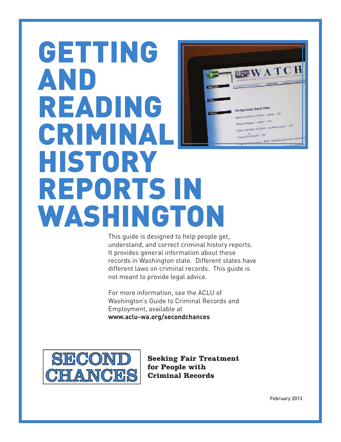# GETTING AND READING CRIMINAL HISTORY REPORTS IN WASHINGTON

This guide is designed to help people get, understand, and correct criminal history reports. It provides general information about these records in Washington state. Different states have different laws on criminal records. This guide is not meant to provide legal advice.

For more information, see the ACLU of Washington's Guide to Criminal Records and Employment, available at **www.aclu-wa.org/secondchances**



**Seeking Fair Treatment** for People with **Criminal Records** 

February 2013

I WE WATCH

Request - ontine - 312<br>and Date of Birth - mailed request - \$17

**Background check fees** Name and Date of Birth - online - \$10 Jotary Request - online - 510

nt based - \$26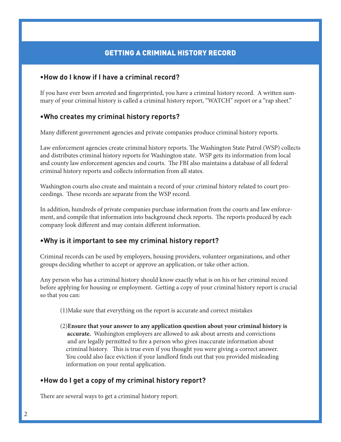# GETTING A CRIMINAL HISTORY RECORD

## **•How do I know if I have a criminal record?**

If you have ever been arrested and fingerprinted, you have a criminal history record. A written summary of your criminal history is called a criminal history report, "WATCH" report or a "rap sheet."

## **•Who creates my criminal history reports?**

Many different government agencies and private companies produce criminal history reports.

Law enforcement agencies create criminal history reports. The Washington State Patrol (WSP) collects and distributes criminal history reports for Washington state. WSP gets its information from local and county law enforcement agencies and courts. The FBI also maintains a database of all federal criminal history reports and collects information from all states.

Washington courts also create and maintain a record of your criminal history related to court proceedings. These records are separate from the WSP record.

In addition, hundreds of private companies purchase information from the courts and law enforcement, and compile that information into background check reports. The reports produced by each company look different and may contain different information.

## **•Why is it important to see my criminal history report?**

Criminal records can be used by employers, housing providers, volunteer organizations, and other groups deciding whether to accept or approve an application, or take other action.

Any person who has a criminal history should know exactly what is on his or her criminal record before applying for housing or employment. Getting a copy of your criminal history report is crucial so that you can:

- (1)Make sure that everything on the report is accurate and correct mistakes
- (2)**Ensure that your answer to any application question about your criminal history is accurate.** Washington employers are allowed to ask about arrests and convictions and are legally permitted to fire a person who gives inaccurate information about criminal history. This is true even if you thought you were giving a correct answer. You could also face eviction if your landlord finds out that you provided misleading information on your rental application.

## **•How do I get a copy of my criminal history report?**

There are several ways to get a criminal history report.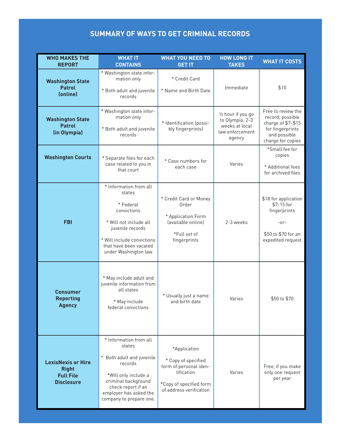# **Summary of WayS to Get CrImInal reCordS**

| <b>WHO MAKES THE</b><br><b>REPORT</b>                                              | <b>WHAT IT</b><br><b>CONTAINS</b>                                                                                                                                                                  | <b>WHAT YOU NEED TO</b><br><b>GET IT</b>                                                                                          | <b>HOW LONG IT</b><br><b>TAKES</b>                                                   | <b>WHAT IT COSTS</b>                                                                                                  |
|------------------------------------------------------------------------------------|----------------------------------------------------------------------------------------------------------------------------------------------------------------------------------------------------|-----------------------------------------------------------------------------------------------------------------------------------|--------------------------------------------------------------------------------------|-----------------------------------------------------------------------------------------------------------------------|
| <b>Washington State</b><br><b>Patrol</b><br>(online)                               | * Washington state infor-<br>mation only<br>* Both adult and juvenile<br>records                                                                                                                   | * Credit Card<br>* Name and Birth Date                                                                                            | Immediate                                                                            | \$10                                                                                                                  |
| <b>Washington State</b><br><b>Patrol</b><br>(in Olympia)                           | * Washington state infor-<br>mation only<br>* Both adult and juvenile<br>records                                                                                                                   | * Identification (possi-<br>bly fingerprints)                                                                                     | 1/2 hour if you go<br>to Olympia; 2-3<br>weeks at local<br>law enforcement<br>agency | Free to review the<br>record; possible<br>charge of \$7-\$15<br>for fingerprints<br>and possible<br>charge for copies |
| <b>Washington Courts</b>                                                           | * Separate files for each<br>case related to you in<br>that court                                                                                                                                  | * Case numbers for<br>each case                                                                                                   | Varies                                                                               | *Small fee for<br>copies<br>* Additional fees<br>for archived files                                                   |
| <b>FBI</b>                                                                         | * Information from all<br>states<br>* Federal<br>convictions<br>* Will not include all<br>juvenile records<br>* Will include convictions<br>that have been vacated<br>under Washington law         | * Credit Card or Money<br>Order<br>* Application Form<br>(available online)<br>*Full set of<br>fingerprints                       | 2-3 weeks                                                                            | \$18 for application<br>$$7-15$ for<br>fingerprints<br>$-0r-$<br>\$50 to \$70 for an<br>expedited request             |
| Consumer<br><b>Reporting</b><br><b>Agency</b>                                      | * May include adult and<br>juvenile information from<br>all states<br>* May include<br>federal convictions                                                                                         | * Usually just a name<br>and birth date                                                                                           | Varies                                                                               | \$50 to \$70                                                                                                          |
| <b>LexisNexis or Hire</b><br><b>Right</b><br><b>Full File</b><br><b>Disclosure</b> | * Information from all<br>states<br>* Both adult and juvenile<br>records<br>*Will only include a<br>criminal background<br>check report if an<br>employer has asked the<br>company to prepare one. | *Application<br>* Copy of specified<br>form of personal iden-<br>tification<br>*Copy of specified form<br>of address verification | Varies                                                                               | Free, if you make<br>only one request<br>per year                                                                     |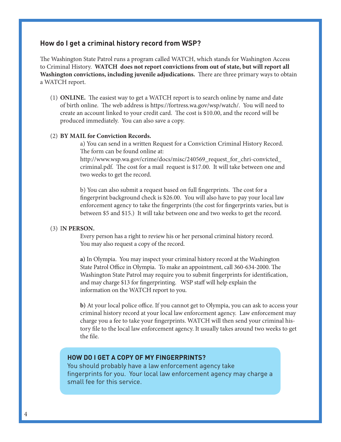## **How do I get a criminal history record from WSp?**

e Washington State Patrol runs a program called WATCH, which stands for Washington Access to Criminal History. **WATCH does not report convictions from out of state, but will report all Washington convictions, including juvenile adjudications.** There are three primary ways to obtain a WATCH report.

(1) **ONLINE.** The easiest way to get a WATCH report is to search online by name and date of birth online. The web address is https://fortress.wa.gov/wsp/watch/. You will need to create an account linked to your credit card. The cost is \$10.00, and the record will be produced immediately. You can also save a copy.

#### (2) **BY MAIL for Conviction Records.**

a) You can send in a written Request for a Conviction Criminal History Record. The form can be found online at:

 http://www.wsp.wa.gov/crime/docs/misc/240569\_request\_for\_chri-convicted\_ criminal.pdf. The cost for a mail request is \$17.00. It will take between one and two weeks to get the record.

b) You can also submit a request based on full fingerprints. The cost for a ngerprint background check is \$26.00. You will also have to pay your local law enforcement agency to take the fingerprints (the cost for fingerprints varies, but is between \$5 and \$15.) It will take between one and two weeks to get the record.

#### (3) I**N PERSON.**

 Every person has a right to review his or her personal criminal history record. You may also request a copy of the record.

 **a)** In Olympia. You may inspect your criminal history record at the Washington State Patrol Office in Olympia. To make an appointment, call 360-634-2000. The Washington State Patrol may require you to submit fingerprints for identification, and may charge \$13 for fingerprinting. WSP staff will help explain the information on the WATCH report to you.

**b**) At your local police office. If you cannot get to Olympia, you can ask to access your criminal history record at your local law enforcement agency. Law enforcement may charge you a fee to take your fingerprints. WATCH will then send your criminal history file to the local law enforcement agency. It usually takes around two weeks to get the file.

#### **HoW do I Get a Copy of my fInGerprIntS?**

You should probably have a law enforcement agency take fingerprints for you. Your local law enforcement agency may charge a small fee for this service.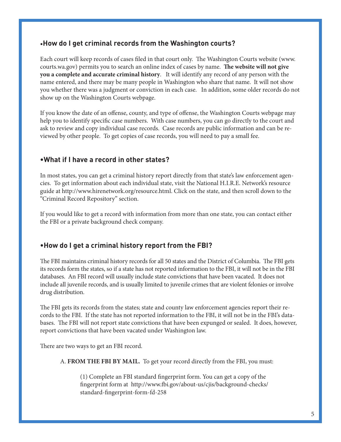# •**How do I get criminal records from the Washington courts?**

Each court will keep records of cases filed in that court only. The Washington Courts website (www. courts.wa.gov) permits you to search an online index of cases by name. The website will not give **you a complete and accurate criminal history**. It will identify any record of any person with the name entered, and there may be many people in Washington who share that name. It will not show you whether there was a judgment or conviction in each case. In addition, some older records do not show up on the Washington Courts webpage.

If you know the date of an offense, county, and type of offense, the Washington Courts webpage may help you to identify specific case numbers. With case numbers, you can go directly to the court and ask to review and copy individual case records. Case records are public information and can be reviewed by other people. To get copies of case records, you will need to pay a small fee.

# **•What if I have a record in other states?**

In most states, you can get a criminal history report directly from that state's law enforcement agencies. To get information about each individual state, visit the National H.I.R.E. Network's resource guide at http://www.hirenetwork.org/resource.html. Click on the state, and then scroll down to the "Criminal Record Repository" section.

If you would like to get a record with information from more than one state, you can contact either the FBI or a private background check company.

# **•How do I get a criminal history report from the fBI?**

The FBI maintains criminal history records for all 50 states and the District of Columbia. The FBI gets its records form the states, so if a state has not reported information to the FBI, it will not be in the FBI databases. An FBI record will usually include state convictions that have been vacated. It does not include all juvenile records, and is usually limited to juvenile crimes that are violent felonies or involve drug distribution.

The FBI gets its records from the states; state and county law enforcement agencies report their records to the FBI. If the state has not reported information to the FBI, it will not be in the FBI's databases. The FBI will not report state convictions that have been expunged or sealed. It does, however, report convictions that have been vacated under Washington law.

There are two ways to get an FBI record.

A. **FROM THE FBI BY MAIL.** To get your record directly from the FBI, you must:

(1) Complete an FBI standard fingerprint form. You can get a copy of the fingerprint form at http://www.fbi.gov/about-us/cjis/background-checks/ standard-fingerprint-form-fd-258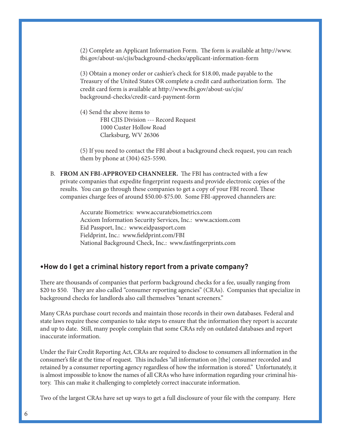$(2)$  Complete an Applicant Information Form. The form is available at http://www. i.gov/about-us/cjis/background-checks/applicant-information-form

 (3) Obtain a money order or cashier's check for \$18.00, made payable to the Treasury of the United States OR complete a credit card authorization form. The credit card form is available at http://www.fbi.gov/about-us/cjis/ background-checks/credit-card-payment-form

 (4) Send the above items to FBI CJIS Division --- Record Request 1000 Custer Hollow Road Clarksburg, WV 26306

(5) If you need to contact the FBI about a background check request, you can reach them by phone at (304) 625-5590.

B. FROM AN FBI-APPROVED CHANNELER. The FBI has contracted with a few private companies that expedite fingerprint requests and provide electronic copies of the results. You can go through these companies to get a copy of your FBI record. These companies charge fees of around \$50.00-\$75.00. Some FBI-approved channelers are:

> Accurate Biometrics: www.accuratebiometrics.com Acxiom Information Security Services, Inc.: www.acxiom.com Eid Passport, Inc.: www.eidpassport.com Fieldprint, Inc.: www.fieldprint.com/FBI National Background Check, Inc.: www.fastfingerprints.com

## **•How do I get a criminal history report from a private company?**

There are thousands of companies that perform background checks for a fee, usually ranging from \$20 to \$50. They are also called "consumer reporting agencies" (CRAs). Companies that specialize in background checks for landlords also call themselves "tenant screeners."

Many CRAs purchase court records and maintain those records in their own databases. Federal and state laws require these companies to take steps to ensure that the information they report is accurate and up to date. Still, many people complain that some CRAs rely on outdated databases and report inaccurate information.

Under the Fair Credit Reporting Act, CRAs are required to disclose to consumers all information in the consumer's file at the time of request. This includes "all information on [the] consumer recorded and retained by a consumer reporting agency regardless of how the information is stored." Unfortunately, it is almost impossible to know the names of all CRAs who have information regarding your criminal history. This can make it challenging to completely correct inaccurate information.

Two of the largest CRAs have set up ways to get a full disclosure of your file with the company. Here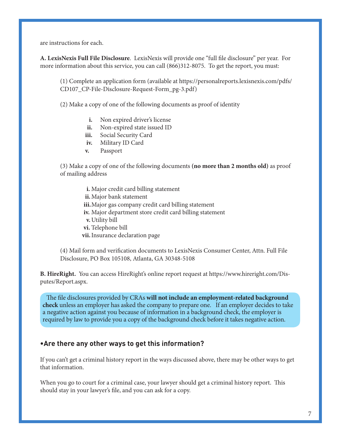are instructions for each.

A. LexisNexis Full File Disclosure. LexisNexis will provide one "full file disclosure" per year. For more information about this service, you can call (866)312-8075. To get the report, you must:

(1) Complete an application form (available at https://personalreports.lexisnexis.com/pdfs/ CD107\_CP-File-Disclosure-Request-Form\_pg-3.pdf)

(2) Make a copy of one of the following documents as proof of identity

- **i.** Non expired driver's license
- **ii.** Non-expired state issued ID
- **iii.** Social Security Card
- **iv.** Military ID Card
- **v.** Passport

 (3) Make a copy of one of the following documents **(no more than 2 months old)** as proof of mailing address

 **i.** Major credit card billing statement **ii.** Major bank statement **iii.** Major gas company credit card billing statement **iv.** Major department store credit card billing statement **v.** Utility bill **vi.** Telephone bill **vii.** Insurance declaration page

(4) Mail form and verification documents to LexisNexis Consumer Center, Attn. Full File Disclosure, PO Box 105108, Atlanta, GA 30348-5108

**B. HireRight.** You can access HireRight's online report request at https://www.hireright.com/Disputes/Report.aspx.

The file disclosures provided by CRAs **will not include an employment-related background check** unless an employer has asked the company to prepare one. If an employer decides to take a negative action against you because of information in a background check, the employer is required by law to provide you a copy of the background check before it takes negative action.

## **•are there any other ways to get this information?**

If you can't get a criminal history report in the ways discussed above, there may be other ways to get that information.

When you go to court for a criminal case, your lawyer should get a criminal history report. This should stay in your lawyer's file, and you can ask for a copy.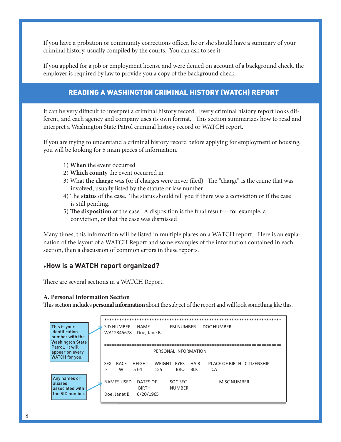If you have a probation or community corrections officer, he or she should have a summary of your criminal history, usually compiled by the courts. You can ask to see it.

If you applied for a job or employment license and were denied on account of a background check, the employer is required by law to provide you a copy of the background check.

# READING A WASHINGTON CRIMINAL HISTORY (WATCH) REPORT

It can be very difficult to interpret a criminal history record. Every criminal history report looks different, and each agency and company uses its own format. This section summarizes how to read and interpret a Washington State Patrol criminal history record or WATCH report.

If you are trying to understand a criminal history record before applying for employment or housing, you will be looking for 5 main pieces of information.

- 1) **When** the event occurred
- 2) **Which county** the event occurred in
- 3) What **the charge** was (or if charges were never filed). The "charge" is the crime that was involved, usually listed by the statute or law number.
- 4) The **status** of the case. The status should tell you if there was a conviction or if the case is still pending.
- 5) The disposition of the case. A disposition is the final result--- for example, a conviction, or that the case was dismissed

Many times, this information will be listed in multiple places on a WATCH report. Here is an explanation of the layout of a WATCH Report and some examples of the information contained in each section, then a discussion of common errors in these reports.

## •**How is a WatCH report organized?**

There are several sections in a WATCH Report.

#### **A. Personal Information Section**

This section includes **personal information** about the subject of the report and will look something like this.

| This is your<br>identification<br>number with the<br><b>Washington State</b> | <b>SID NUMBER</b><br>NAMF<br>WA12345678        | <b>FBI NUMBER</b><br>Doe, Jane B.                                 | <b>DOC NUMBER</b>                               |  |
|------------------------------------------------------------------------------|------------------------------------------------|-------------------------------------------------------------------|-------------------------------------------------|--|
| Patrol. It will<br>appear on every<br><b>WATCH</b> for you.                  | PERSONAL INFORMATION                           |                                                                   |                                                 |  |
|                                                                              | RACE<br><b>SEX</b><br>HEIGHT<br>F<br>W<br>5.04 | WEIGHT EYES<br><b>BIK</b><br>155<br>BRO.                          | PLACE OF BIRTH CITIZENSHIP<br><b>HAIR</b><br>CA |  |
| Any names or<br>aliases<br>associated with<br>the SID number.                | <b>NAMES USED</b><br>Doe. Janet B              | DATES OF<br>SOC SEC<br><b>NUMBER</b><br><b>BIRTH</b><br>6/20/1965 | <b>MISC NUMBER</b>                              |  |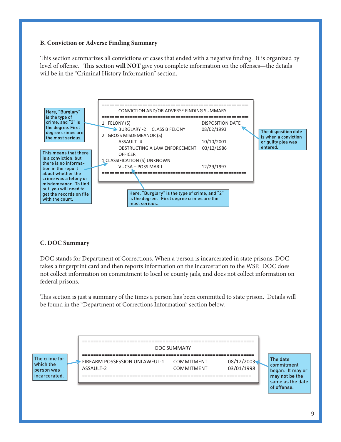## **B. Conviction or Adverse Finding Summary**

This section summarizes all convictions or cases that ended with a negative finding. It is organized by level of offense. This section will NOT give you complete information on the offenses—the details will be in the "Criminal History Information" section.



#### **C. DOC Summary**

DOC stands for Department of Corrections. When a person is incarcerated in state prisons, DOC takes a fingerprint card and then reports information on the incarceration to the WSP. DOC does not collect information on commitment to local or county jails, and does not collect information on federal prisons.

This section is just a summary of the times a person has been committed to state prison. Details will be found in the "Department of Corrections Information" section below.

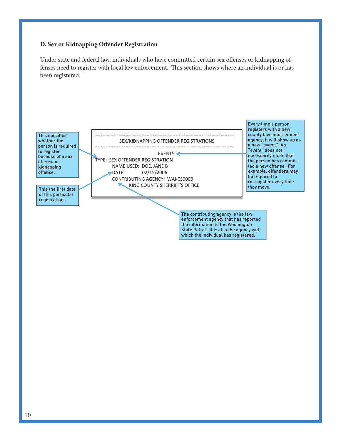#### **D. Sex or Kidnapping Offender Registration**

Under state and federal law, individuals who have committed certain sex offenses or kidnapping offenses need to register with local law enforcement. This section shows where an individual is or has been registered.

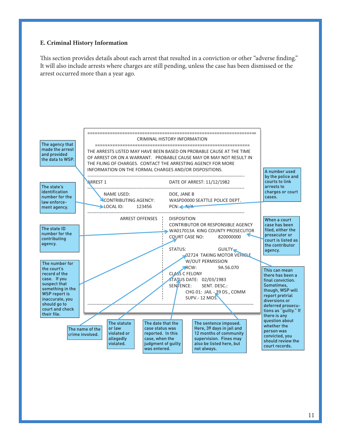#### **E. Criminal History Information**

This section provides details about each arrest that resulted in a conviction or other "adverse finding." It will also include arrests where charges are still pending, unless the case has been dismissed or the arrest occurred more than a year ago.

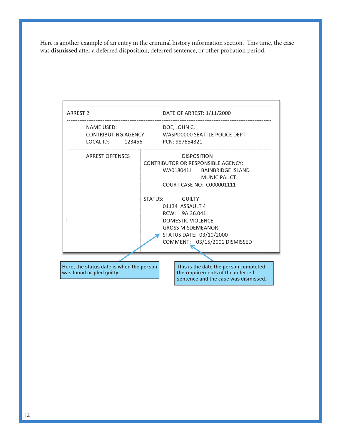Here is another example of an entry in the criminal history information section. This time, the case was dismissed after a deferred disposition, deferred sentence, or other probation period.

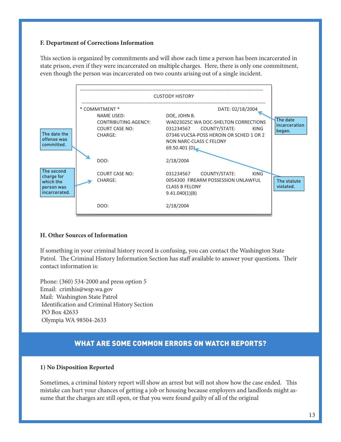#### **F. Department of Corrections Information**

This section is organized by commitments and will show each time a person has been incarcerated in state prison, even if they were incarcerated on multiple charges. Here, there is only one commitment, even though the person was incarcerated on two counts arising out of a single incident.



#### **H. Other Sources of Information**

If something in your criminal history record is confusing, you can contact the Washington State Patrol. The Criminal History Information Section has staff available to answer your questions. Their contact information is:

Phone: (360) 534-2000 and press option 5 Email: crimhis@wsp.wa.gov Mail: Washington State Patrol Identification and Criminal History Section PO Box 42633 Olympia WA 98504-2633

# WHAT ARE SOME COMMON ERRORS ON WATCH REPORTS?

#### **1) No Disposition Reported**

Sometimes, a criminal history report will show an arrest but will not show how the case ended. This mistake can hurt your chances of getting a job or housing because employers and landlords might assume that the charges are still open, or that you were found guilty of all of the original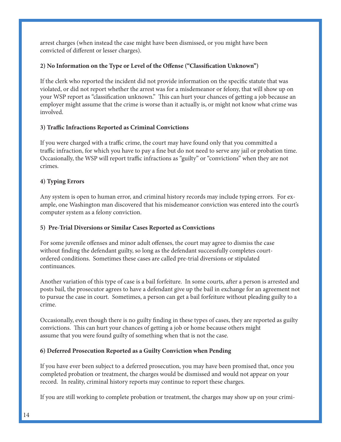arrest charges (when instead the case might have been dismissed, or you might have been convicted of different or lesser charges).

## **2) No Information on the Type or Level of the Offense ("Classification Unknown")**

If the clerk who reported the incident did not provide information on the specific statute that was violated, or did not report whether the arrest was for a misdemeanor or felony, that will show up on your WSP report as "classification unknown." This can hurt your chances of getting a job because an employer might assume that the crime is worse than it actually is, or might not know what crime was involved.

## **3) Traffic Infractions Reported as Criminal Convictions**

If you were charged with a traffic crime, the court may have found only that you committed a traffic infraction, for which you have to pay a fine but do not need to serve any jail or probation time. Occasionally, the WSP will report traffic infractions as "guilty" or "convictions" when they are not crimes.

## **4) Typing Errors**

Any system is open to human error, and criminal history records may include typing errors. For example, one Washington man discovered that his misdemeanor conviction was entered into the court's computer system as a felony conviction.

## **5) Pre-Trial Diversions or Similar Cases Reported as Convictions**

For some juvenile offenses and minor adult offenses, the court may agree to dismiss the case without finding the defendant guilty, so long as the defendant successfully completes courtordered conditions. Sometimes these cases are called pre-trial diversions or stipulated continuances.

Another variation of this type of case is a bail forfeiture. In some courts, after a person is arrested and posts bail, the prosecutor agrees to have a defendant give up the bail in exchange for an agreement not to pursue the case in court. Sometimes, a person can get a bail forfeiture without pleading guilty to a crime.

Occasionally, even though there is no guilty finding in these types of cases, they are reported as guilty convictions. This can hurt your chances of getting a job or home because others might assume that you were found guilty of something when that is not the case.

## **6) Deferred Prosecution Reported as a Guilty Conviction when Pending**

If you have ever been subject to a deferred prosecution, you may have been promised that, once you completed probation or treatment, the charges would be dismissed and would not appear on your record. In reality, criminal history reports may continue to report these charges.

If you are still working to complete probation or treatment, the charges may show up on your crimi-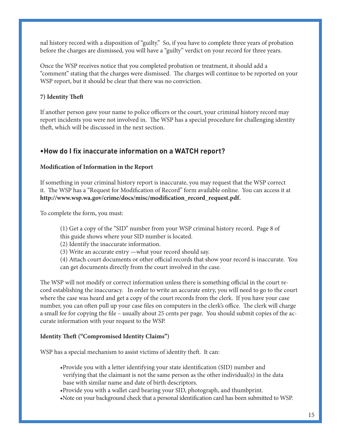nal history record with a disposition of "guilty." So, if you have to complete three years of probation before the charges are dismissed, you will have a "guilty" verdict on your record for three years.

Once the WSP receives notice that you completed probation or treatment, it should add a "comment" stating that the charges were dismissed. The charges will continue to be reported on your WSP report, but it should be clear that there was no conviction.

## **7)** Identity Theft

If another person gave your name to police officers or the court, your criminal history record may report incidents you were not involved in. The WSP has a special procedure for challenging identity theft, which will be discussed in the next section.

## **•How do I fix inaccurate information on a WatCH report?**

#### **Modication of Information in the Report**

If something in your criminal history report is inaccurate, you may request that the WSP correct it. The WSP has a "Request for Modification of Record" form available online. You can access it at **http://www.wsp.wa.gov/crime/docs/misc/modication\_record\_request.pdf.**

To complete the form, you must:

- (1) Get a copy of the "SID" number from your WSP criminal history record. Page 8 of this guide shows where your SID number is located.
- (2) Identify the inaccurate information.
- (3) Write an accurate entry —what your record should say.
- (4) Attach court documents or other official records that show your record is inaccurate. You can get documents directly from the court involved in the case.

The WSP will not modify or correct information unless there is something official in the court record establishing the inaccuracy. In order to write an accurate entry, you will need to go to the court where the case was heard and get a copy of the court records from the clerk. If you have your case number, you can often pull up your case files on computers in the clerk's office. The clerk will charge a small fee for copying the file – usually about 25 cents per page. You should submit copies of the accurate information with your request to the WSP.

#### Identity Theft ("Compromised Identity Claims")

WSP has a special mechanism to assist victims of identity theft. It can:

- •Provide you with a letter identifying your state identification (SID) number and verifying that the claimant is not the same person as the other individual(s) in the data base with similar name and date of birth descriptors.
- •Provide you with a wallet card bearing your SID, photograph, and thumbprint.
- •Note on your background check that a personal identification card has been submitted to WSP.